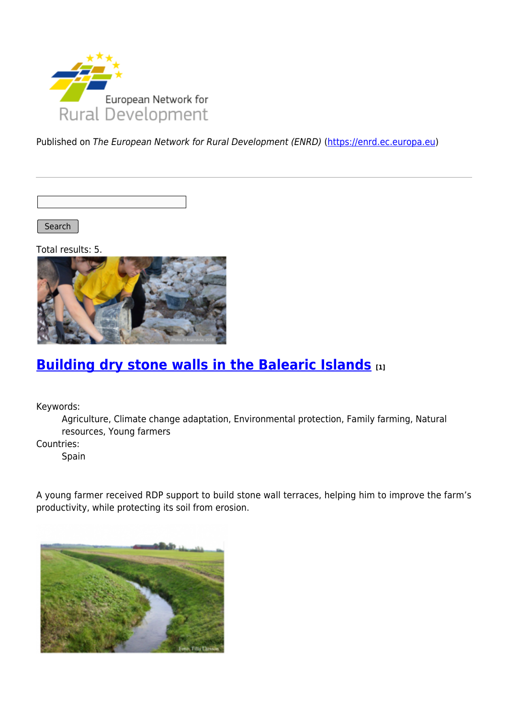

Published on The European Network for Rural Development (ENRD) [\(https://enrd.ec.europa.eu](https://enrd.ec.europa.eu))

Search

Total results: 5.



## **[Building dry stone walls in the Balearic Islands](https://enrd.ec.europa.eu/projects-practice/building-dry-stone-walls-balearic-islands_en) [1]**

Keywords:

Agriculture, Climate change adaptation, Environmental protection, Family farming, Natural resources, Young farmers

Countries:

Spain

A young farmer received RDP support to build stone wall terraces, helping him to improve the farm's productivity, while protecting its soil from erosion.

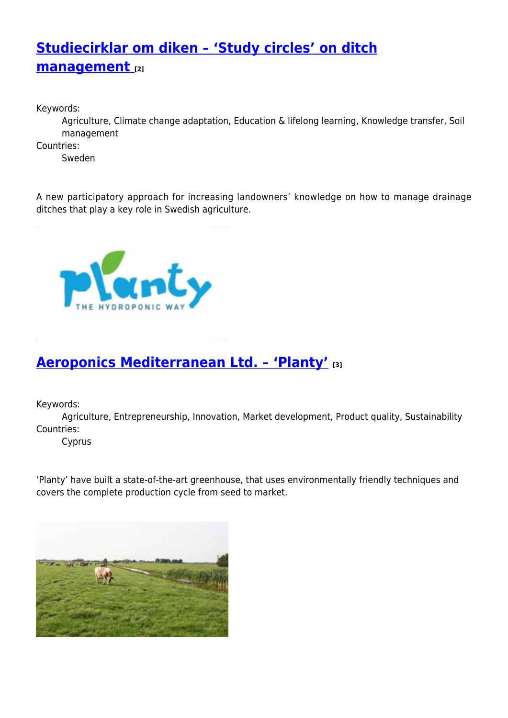# **[Studiecirklar om diken – 'Study circles' on ditch](https://enrd.ec.europa.eu/projects-practice/studiecirklar-om-diken-study-circles-ditch-management_en) [management](https://enrd.ec.europa.eu/projects-practice/studiecirklar-om-diken-study-circles-ditch-management_en) [2]**

Keywords:

Agriculture, Climate change adaptation, Education & lifelong learning, Knowledge transfer, Soil management

Countries:

Sweden

A new participatory approach for increasing landowners' knowledge on how to manage drainage ditches that play a key role in Swedish agriculture.



## **[Aeroponics Mediterranean Ltd. – 'Planty'](https://enrd.ec.europa.eu/projects-practice/aeroponics-mediterranean-ltd-planty_en) [3]**

Keywords:

Agriculture, Entrepreneurship, Innovation, Market development, Product quality, Sustainability Countries:

Cyprus

'Planty' have built a state-of-the-art greenhouse, that uses environmentally friendly techniques and covers the complete production cycle from seed to market.

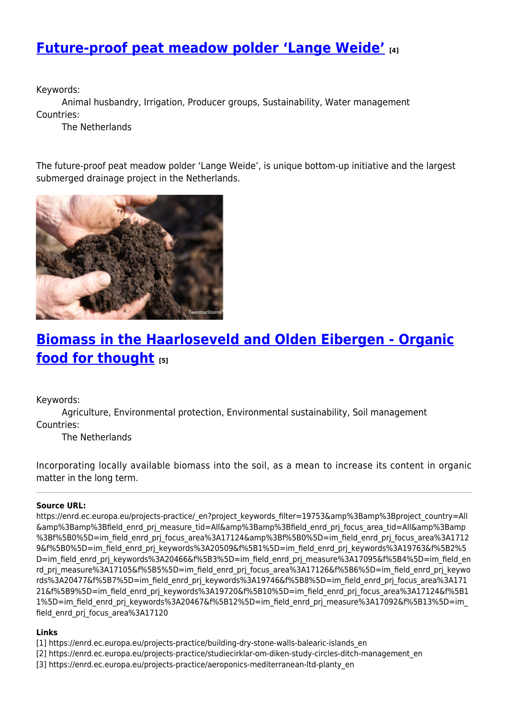### **[Future-proof peat meadow polder 'Lange Weide'](https://enrd.ec.europa.eu/projects-practice/future-proof-peat-meadow-polder-lange-weide_en) [4]**

Keywords:

Animal husbandry, Irrigation, Producer groups, Sustainability, Water management Countries:

The Netherlands

The future-proof peat meadow polder 'Lange Weide', is unique bottom-up initiative and the largest submerged drainage project in the Netherlands.



## **[Biomass in the Haarloseveld and Olden Eibergen - Organic](https://enrd.ec.europa.eu/projects-practice/biomass-haarloseveld-and-olden-eibergen-organic-food-thought_en) [food for thought](https://enrd.ec.europa.eu/projects-practice/biomass-haarloseveld-and-olden-eibergen-organic-food-thought_en) [5]**

Keywords:

Agriculture, Environmental protection, Environmental sustainability, Soil management Countries:

The Netherlands

Incorporating locally available biomass into the soil, as a mean to increase its content in organic matter in the long term.

#### **Source URL:**

https://enrd.ec.europa.eu/projects-practice/\_en?project\_keywords\_filter=19753&amp%3Bamp%3Bproject\_country=All &amp%3Bamp%3Bfield\_enrd\_prj\_measure\_tid=All&amp%3Bamp%3Bfield\_enrd\_prj\_focus\_area\_tid=All&amp%3Bamp %3Bf%5B0%5D=im\_field\_enrd\_prj\_focus\_area%3A17124&amp%3Bf%5B0%5D=im\_field\_enrd\_prj\_focus\_area%3A1712 9&f%5B0%5D=im\_field\_enrd\_prj\_keywords%3A20509&f%5B1%5D=im\_field\_enrd\_prj\_keywords%3A19763&f%5B2%5 D=im\_field\_enrd\_prj\_keywords%3A20466&f%5B3%5D=im\_field\_enrd\_prj\_measure%3A17095&f%5B4%5D=im\_field\_en rd\_prj\_measure%3A17105&f%5B5%5D=im\_field\_enrd\_prj\_focus\_area%3A17126&f%5B6%5D=im\_field\_enrd\_prj\_keywo rds%3A20477&f%5B7%5D=im\_field\_enrd\_prj\_keywords%3A19746&f%5B8%5D=im\_field\_enrd\_prj\_focus\_area%3A171 21&f%5B9%5D=im\_field\_enrd\_prj\_keywords%3A19720&f%5B10%5D=im\_field\_enrd\_prj\_focus\_area%3A17124&f%5B1 1%5D=im\_field\_enrd\_prj\_keywords%3A20467&f%5B12%5D=im\_field\_enrd\_prj\_measure%3A17092&f%5B13%5D=im field\_enrd\_prj\_focus\_area%3A17120

#### **Links**

- [1] https://enrd.ec.europa.eu/projects-practice/building-dry-stone-walls-balearic-islands\_en
- [2] https://enrd.ec.europa.eu/projects-practice/studiecirklar-om-diken-study-circles-ditch-management\_en
- [3] https://enrd.ec.europa.eu/projects-practice/aeroponics-mediterranean-ltd-planty\_en